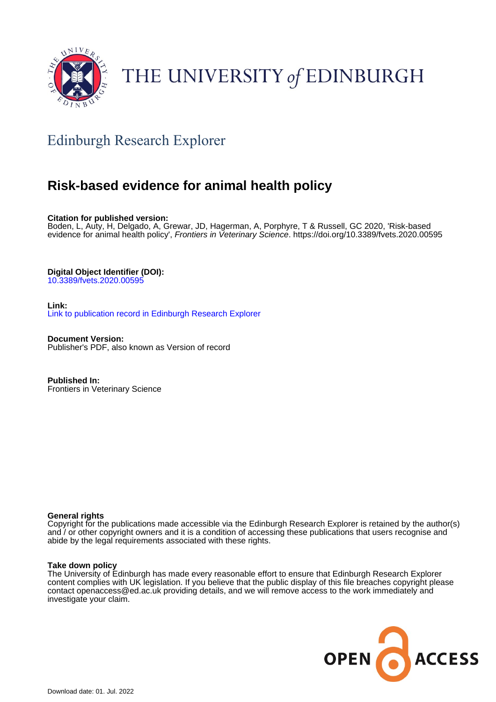

# THE UNIVERSITY of EDINBURGH

## Edinburgh Research Explorer

## **Risk-based evidence for animal health policy**

**Citation for published version:**

Boden, L, Auty, H, Delgado, A, Grewar, JD, Hagerman, A, Porphyre, T & Russell, GC 2020, 'Risk-based evidence for animal health policy', Frontiers in Veterinary Science. <https://doi.org/10.3389/fvets.2020.00595>

**Digital Object Identifier (DOI):**

10.3389/fvets.2020.0059

**Link:** [Link to publication record in Edinburgh Research Explorer](https://www.research.ed.ac.uk/en/publications/70ab3f5e-e1d3-47d8-8ef2-7eb08b7f1e5e)

**Document Version:** Publisher's PDF, also known as Version of record

**Published In:** Frontiers in Veterinary Science

#### **General rights**

Copyright for the publications made accessible via the Edinburgh Research Explorer is retained by the author(s) and / or other copyright owners and it is a condition of accessing these publications that users recognise and abide by the legal requirements associated with these rights.

#### **Take down policy**

The University of Edinburgh has made every reasonable effort to ensure that Edinburgh Research Explorer content complies with UK legislation. If you believe that the public display of this file breaches copyright please contact openaccess@ed.ac.uk providing details, and we will remove access to the work immediately and investigate your claim.

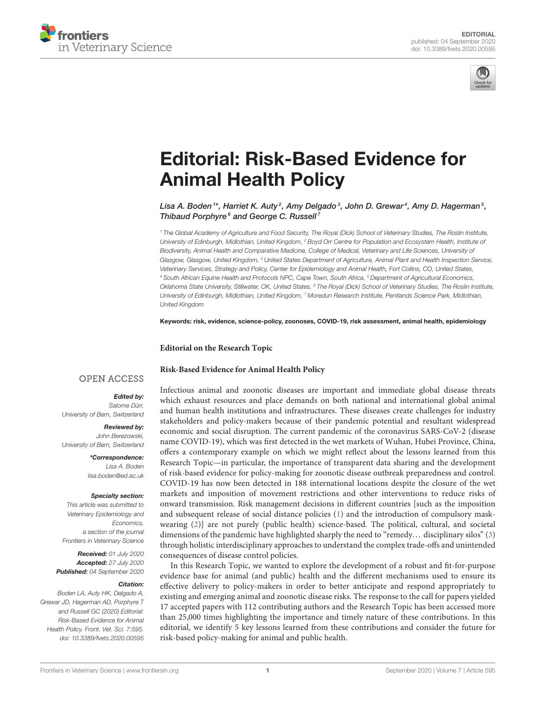



# [Editorial: Risk-Based Evidence for](https://www.frontiersin.org/articles/10.3389/fvets.2020.00595/full) Animal Health Policy

Lisa A. Boden  $^{\text{1*}},$  Harriet K. Auty  $^2$ , Amy Delgado  $^3$ , John D. Grewar  $^4$ , Amy D. Hagerman  $^5$ , Thibaud Porphyre<sup>6</sup> and George C. Russell<sup>7</sup>

<sup>1</sup> The Global Academy of Agriculture and Food Security, The Royal (Dick) School of Veterinary Studies, The Roslin Institute, University of Edinburgh, Midlothian, United Kingdom, <sup>2</sup> Boyd Orr Centre for Population and Ecosystem Health, Institute of Biodiversity, Animal Health and Comparative Medicine, College of Medical, Veterinary and Life Sciences, University of Glasgow, Glasgow, United Kingdom, <sup>3</sup> United States Department of Agriculture, Animal Plant and Health Inspection Service, Veterinary Services, Strategy and Policy, Center for Epidemiology and Animal Health, Fort Collins, CO, United States, <sup>4</sup> South African Equine Health and Protocols NPC, Cape Town, South Africa, <sup>5</sup> Department of Agricultural Economics, Oklahoma State University, Stillwater, OK, United States, <sup>6</sup> The Royal (Dick) School of Veterinary Studies, The Roslin Institute, University of Edinburgh, Midlothian, United Kingdom, <sup>7</sup> Moredun Research Institute, Pentlands Science Park, Midlothian, United Kingdom

Keywords: risk, evidence, science-policy, zoonoses, COVID-19, risk assessment, animal health, epidemiology

**Editorial on the Research Topic**

#### **[Risk-Based Evidence for Animal Health Policy](https://www.frontiersin.org/research-topics/9057/risk-based-evidence-for-animal-health-policy)**

#### **OPEN ACCESS**

#### Edited by:

Salome Dürr, University of Bern, Switzerland

Reviewed by: John Berezowski, University of Bern, Switzerland

> \*Correspondence: Lisa A. Boden [lisa.boden@ed.ac.uk](mailto:lisa.boden@ed.ac.uk)

#### Specialty section:

This article was submitted to Veterinary Epidemiology and Economics, a section of the journal Frontiers in Veterinary Science

Received: 01 July 2020 Accepted: 27 July 2020 Published: 04 September 2020

#### Citation:

Boden LA, Auty HK, Delgado A, Grewar JD, Hagerman AD, Porphyre T and Russell GC (2020) Editorial: Risk-Based Evidence for Animal Health Policy. Front. Vet. Sci. 7:595. doi: [10.3389/fvets.2020.00595](https://doi.org/10.3389/fvets.2020.00595)

Infectious animal and zoonotic diseases are important and immediate global disease threats which exhaust resources and place demands on both national and international global animal and human health institutions and infrastructures. These diseases create challenges for industry stakeholders and policy-makers because of their pandemic potential and resultant widespread economic and social disruption. The current pandemic of the coronavirus SARS-CoV-2 (disease name COVID-19), which was first detected in the wet markets of Wuhan, Hubei Province, China, offers a contemporary example on which we might reflect about the lessons learned from this Research Topic—in particular, the importance of transparent data sharing and the development of risk-based evidence for policy-making for zoonotic disease outbreak preparedness and control. COVID-19 has now been detected in 188 international locations despite the closure of the wet markets and imposition of movement restrictions and other interventions to reduce risks of onward transmission. Risk management decisions in different countries [such as the imposition and subsequent release of social distance policies [\(1\)](#page-3-0) and the introduction of compulsory maskwearing [\(2\)](#page-3-1)] are not purely (public health) science-based. The political, cultural, and societal dimensions of the pandemic have highlighted sharply the need to "remedy... disciplinary silos" [\(3\)](#page-3-2) through holistic interdisciplinary approaches to understand the complex trade-offs and unintended consequences of disease control policies.

In this Research Topic, we wanted to explore the development of a robust and fit-for-purpose evidence base for animal (and public) health and the different mechanisms used to ensure its effective delivery to policy-makers in order to better anticipate and respond appropriately to existing and emerging animal and zoonotic disease risks. The response to the call for papers yielded 17 accepted papers with 112 contributing authors and the Research Topic has been accessed more than 25,000 times highlighting the importance and timely nature of these contributions. In this editorial, we identify 5 key lessons learned from these contributions and consider the future for risk-based policy-making for animal and public health.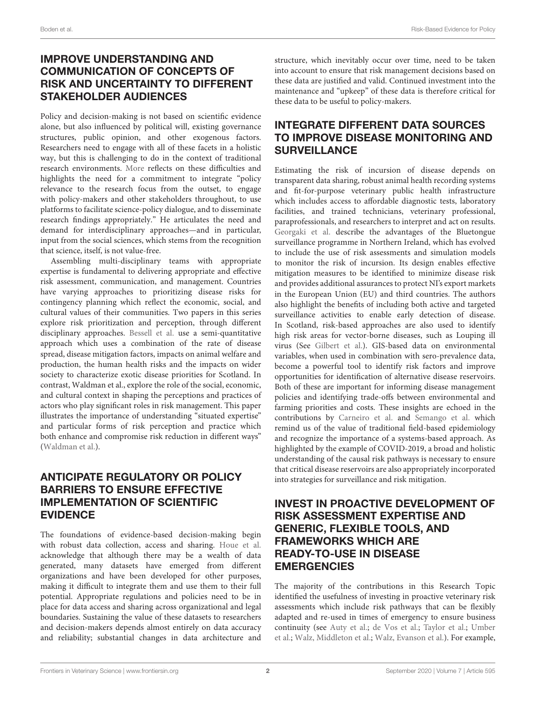## IMPROVE UNDERSTANDING AND COMMUNICATION OF CONCEPTS OF RISK AND UNCERTAINTY TO DIFFERENT STAKEHOLDER AUDIENCES

Policy and decision-making is not based on scientific evidence alone, but also influenced by political will, existing governance structures, public opinion, and other exogenous factors. Researchers need to engage with all of these facets in a holistic way, but this is challenging to do in the context of traditional research environments. [More](https://doi.org/10.3389/fvets.2019.00382) reflects on these difficulties and highlights the need for a commitment to integrate "policy relevance to the research focus from the outset, to engage with policy-makers and other stakeholders throughout, to use platforms to facilitate science-policy dialogue, and to disseminate research findings appropriately." He articulates the need and demand for interdisciplinary approaches—and in particular, input from the social sciences, which stems from the recognition that science, itself, is not value-free.

Assembling multi-disciplinary teams with appropriate expertise is fundamental to delivering appropriate and effective risk assessment, communication, and management. Countries have varying approaches to prioritizing disease risks for contingency planning which reflect the economic, social, and cultural values of their communities. Two papers in this series explore risk prioritization and perception, through different disciplinary approaches. [Bessell et al.](https://doi.org/10.3389/fvets.2020.00223) use a semi-quantitative approach which uses a combination of the rate of disease spread, disease mitigation factors, impacts on animal welfare and production, the human health risks and the impacts on wider society to characterize exotic disease priorities for Scotland. In contrast, Waldman et al., explore the role of the social, economic, and cultural context in shaping the perceptions and practices of actors who play significant roles in risk management. This paper illustrates the importance of understanding "situated expertise" and particular forms of risk perception and practice which both enhance and compromise risk reduction in different ways" [\(Waldman et al.\)](https://doi.org/10.3389/fvets.2020.00309).

## ANTICIPATE REGULATORY OR POLICY BARRIERS TO ENSURE EFFECTIVE IMPLEMENTATION OF SCIENTIFIC EVIDENCE

The foundations of evidence-based decision-making begin with robust data collection, access and sharing. [Houe et al.](https://doi.org/10.3389/fvets.2019.00301) acknowledge that although there may be a wealth of data generated, many datasets have emerged from different organizations and have been developed for other purposes, making it difficult to integrate them and use them to their full potential. Appropriate regulations and policies need to be in place for data access and sharing across organizational and legal boundaries. Sustaining the value of these datasets to researchers and decision-makers depends almost entirely on data accuracy and reliability; substantial changes in data architecture and structure, which inevitably occur over time, need to be taken into account to ensure that risk management decisions based on these data are justified and valid. Continued investment into the maintenance and "upkeep" of these data is therefore critical for these data to be useful to policy-makers.

## INTEGRATE DIFFERENT DATA SOURCES TO IMPROVE DISEASE MONITORING AND **SURVEILLANCE**

Estimating the risk of incursion of disease depends on transparent data sharing, robust animal health recording systems and fit-for-purpose veterinary public health infrastructure which includes access to affordable diagnostic tests, laboratory facilities, and trained technicians, veterinary professional, paraprofessionals, and researchers to interpret and act on results. [Georgaki et al.](https://doi.org/10.3389/fvets.2019.00456) describe the advantages of the Bluetongue surveillance programme in Northern Ireland, which has evolved to include the use of risk assessments and simulation models to monitor the risk of incursion. Its design enables effective mitigation measures to be identified to minimize disease risk and provides additional assurances to protect NI's export markets in the European Union (EU) and third countries. The authors also highlight the benefits of including both active and targeted surveillance activities to enable early detection of disease. In Scotland, risk-based approaches are also used to identify high risk areas for vector-borne diseases, such as Louping ill virus (See [Gilbert et al.\)](https://doi.org/10.3389/fvets.2020.00377). GIS-based data on environmental variables, when used in combination with sero-prevalence data, become a powerful tool to identify risk factors and improve opportunities for identification of alternative disease reservoirs. Both of these are important for informing disease management policies and identifying trade-offs between environmental and farming priorities and costs. These insights are echoed in the contributions by [Carneiro et al.](https://doi.org/10.3389/fvets.2019.00434) and [Semango et al.](https://doi.org/10.3389/fvets.2019.00327) which remind us of the value of traditional field-based epidemiology and recognize the importance of a systems-based approach. As highlighted by the example of COVID-2019, a broad and holistic understanding of the causal risk pathways is necessary to ensure that critical disease reservoirs are also appropriately incorporated into strategies for surveillance and risk mitigation.

## INVEST IN PROACTIVE DEVELOPMENT OF RISK ASSESSMENT EXPERTISE AND GENERIC, FLEXIBLE TOOLS, AND FRAMEWORKS WHICH ARE READY-TO-USE IN DISEASE **EMERGENCIES**

The majority of the contributions in this Research Topic identified the usefulness of investing in proactive veterinary risk assessments which include risk pathways that can be flexibly adapted and re-used in times of emergency to ensure business continuity (see [Auty et al.;](https://doi.org/10.3389/fvets.2019.00381) [de Vos et al.;](https://doi.org/10.3389/fvets.2020.00056) [Taylor et al.;](https://doi.org/10.3389/fvets.2019.00486) Umber et al.; [Walz, Middleton et al.;](https://doi.org/10.3389/fvets.2019.00501) [Walz, Evanson et al.\). For example,](https://doi.org/10.3389/fvets.2019.00433)